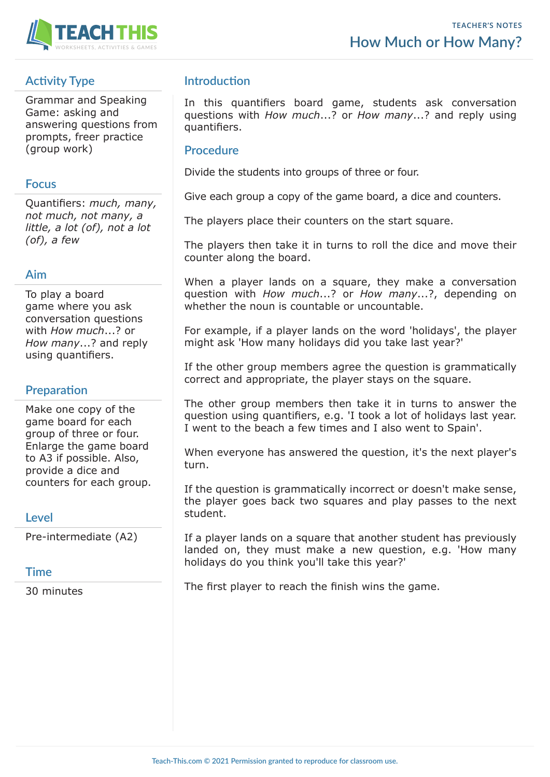

# **Activity Type**

Grammar and Speaking Game: asking and answering questions from prompts, freer practice (group work)

### **Focus**

Quantifiers: *much, many, not much, not many, a little, a lot (of), not a lot (of), a few*

## **Aim**

To play a board game where you ask conversation questions with *How much*...? or *How many*...? and reply using quantifiers.

## **Preparation**

Make one copy of the game board for each group of three or four. Enlarge the game board to A3 if possible. Also, provide a dice and counters for each group.

#### **Level**

Pre-intermediate (A2)

## **Time**

30 minutes

## **Introduction**

In this quantifiers board game, students ask conversation questions with *How much*...? or *How many*...? and reply using quantifiers.

### **Procedure**

Divide the students into groups of three or four.

Give each group a copy of the game board, a dice and counters.

The players place their counters on the start square.

The players then take it in turns to roll the dice and move their counter along the board.

When a player lands on a square, they make a conversation question with *How much*...? or *How many*...?, depending on whether the noun is countable or uncountable.

For example, if a player lands on the word 'holidays', the player might ask 'How many holidays did you take last year?'

If the other group members agree the question is grammatically correct and appropriate, the player stays on the square.

The other group members then take it in turns to answer the question using quantifiers, e.g. 'I took a lot of holidays last year. I went to the beach a few times and I also went to Spain'.

When everyone has answered the question, it's the next player's turn.

If the question is grammatically incorrect or doesn't make sense, the player goes back two squares and play passes to the next student.

If a player lands on a square that another student has previously landed on, they must make a new question, e.g. 'How many holidays do you think you'll take this year?'

The first player to reach the finish wins the game.